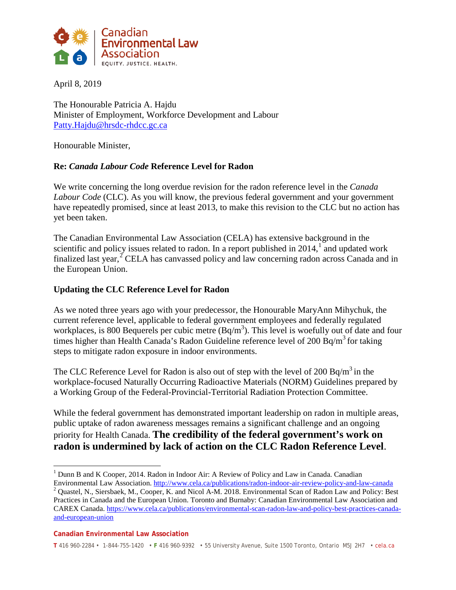

April 8, 2019

The Honourable Patricia A. Hajdu Minister of Employment, Workforce Development and Labour [Patty.Hajdu@hrsdc-rhdcc.gc.ca](mailto:Patty.Hajdu@hrsdc-rhdcc.gc.ca)

Honourable Minister,

## **Re:** *Canada Labour Code* **Reference Level for Radon**

We write concerning the long overdue revision for the radon reference level in the *Canada Labour Code* (CLC). As you will know, the previous federal government and your government have repeatedly promised, since at least 2013, to make this revision to the CLC but no action has yet been taken.

The Canadian Environmental Law Association (CELA) has extensive background in the scientific and policy issues related to radon. In a report published in  $2014$  $2014$  $2014$ , and updated work finalized last year,<sup>[2](#page-0-1)</sup> CELA has canvassed policy and law concerning radon across Canada and in the European Union.

### **Updating the CLC Reference Level for Radon**

As we noted three years ago with your predecessor, the Honourable MaryAnn Mihychuk, the current reference level, applicable to federal government employees and federally regulated workplaces, is 800 Bequerels per cubic metre  $(Bq/m^3)$ . This level is woefully out of date and four times higher than Health Canada's Radon Guideline reference level of 200 Bq/m<sup>3</sup> for taking steps to mitigate radon exposure in indoor environments.

The CLC Reference Level for Radon is also out of step with the level of 200 Bq/m<sup>3</sup> in the workplace-focused Naturally Occurring Radioactive Materials (NORM) Guidelines prepared by a Working Group of the Federal-Provincial-Territorial Radiation Protection Committee.

While the federal government has demonstrated important leadership on radon in multiple areas, public uptake of radon awareness messages remains a significant challenge and an ongoing priority for Health Canada. **The credibility of the federal government's work on radon is undermined by lack of action on the CLC Radon Reference Level**.

<span id="page-0-1"></span>Environmental Law Association.<http://www.cela.ca/publications/radon-indoor-air-review-policy-and-law-canada> <sup>2</sup> Quastel, N., Siersbaek, M., Cooper, K. and Nicol A-M. 2018. Environmental Scan of Radon Law and Policy: Best Practices in Canada and the European Union. Toronto and Burnaby: Canadian Environmental Law Association and CAREX Canada. [https://www.cela.ca/publications/environmental-scan-radon-law-and-policy-best-practices-canada](https://www.cela.ca/publications/environmental-scan-radon-law-and-policy-best-practices-canada-and-european-union)[and-european-union](https://www.cela.ca/publications/environmental-scan-radon-law-and-policy-best-practices-canada-and-european-union)

<span id="page-0-0"></span><sup>&</sup>lt;sup>1</sup> Dunn B and K Cooper, 2014. Radon in Indoor Air: A Review of Policy and Law in Canada. Canadian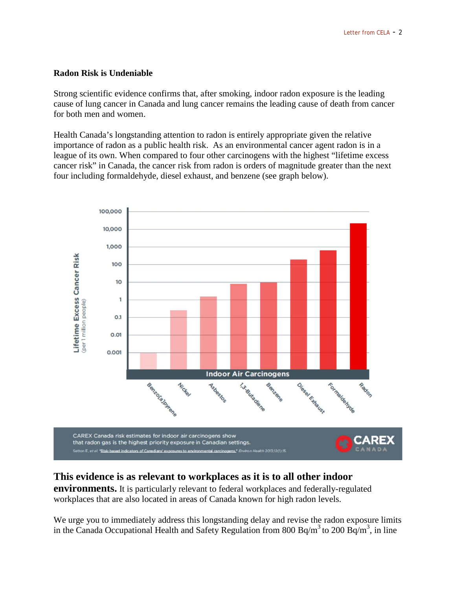### **Radon Risk is Undeniable**

Strong scientific evidence confirms that, after smoking, indoor radon exposure is the leading cause of lung cancer in Canada and lung cancer remains the leading cause of death from cancer for both men and women.

Health Canada's longstanding attention to radon is entirely appropriate given the relative importance of radon as a public health risk. As an environmental cancer agent radon is in a league of its own. When compared to four other carcinogens with the highest "lifetime excess cancer risk" in Canada, the cancer risk from radon is orders of magnitude greater than the next four including formaldehyde, diesel exhaust, and benzene (see graph below).



# **This evidence is as relevant to workplaces as it is to all other indoor**

**environments.** It is particularly relevant to federal workplaces and federally-regulated workplaces that are also located in areas of Canada known for high radon levels.

We urge you to immediately address this longstanding delay and revise the radon exposure limits in the Canada Occupational Health and Safety Regulation from 800 Bq/m<sup>3</sup> to 200 Bq/m<sup>3</sup>, in line